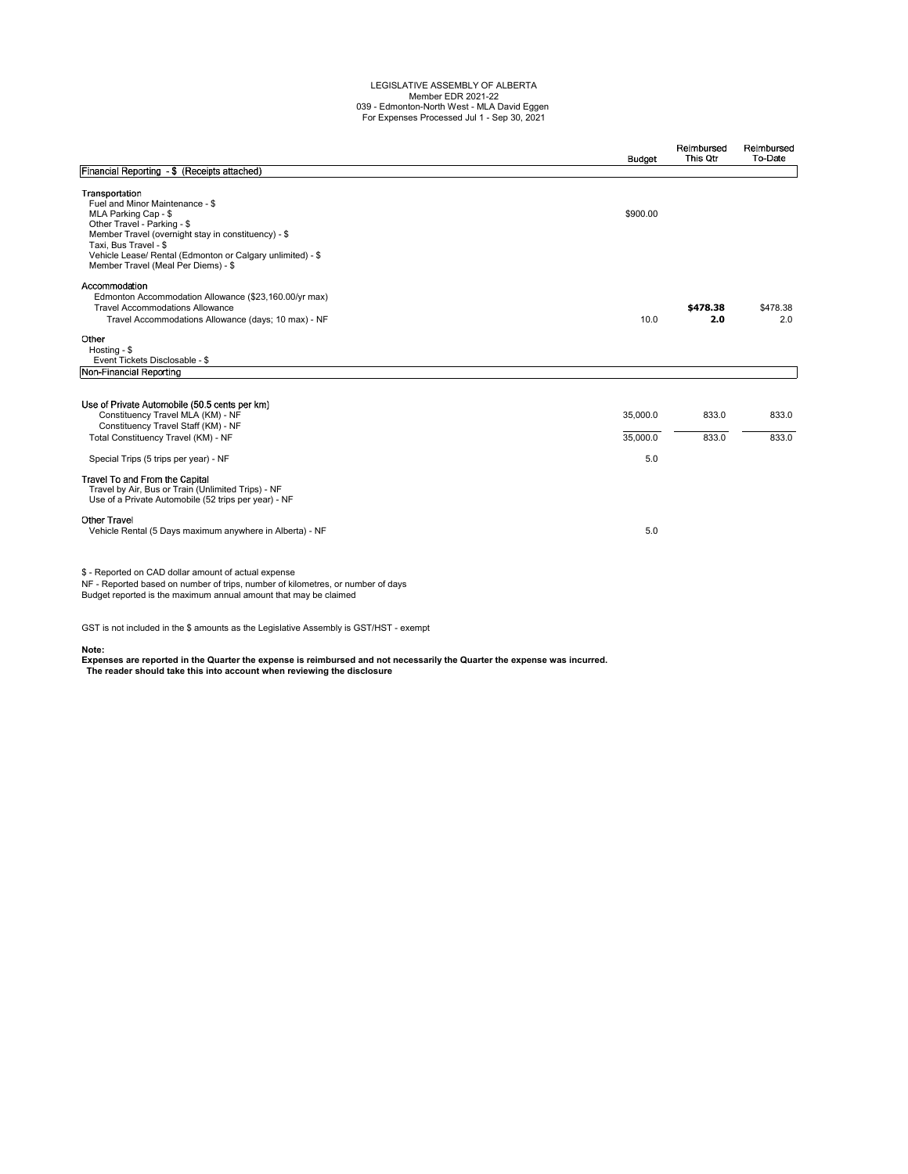## LEGISLATIVE ASSEMBLY OF ALBERTA Member EDR 2021-22 039 - Edmonton-North West - MLA David Eggen For Expenses Processed Jul 1 - Sep 30, 2021

|                                                                                                                                                                                                                                                        | <b>Budget</b>               | Reimbursed<br>This Qtr | Reimbursed<br>To-Date |
|--------------------------------------------------------------------------------------------------------------------------------------------------------------------------------------------------------------------------------------------------------|-----------------------------|------------------------|-----------------------|
| Financial Reporting - \$ (Receipts attached)                                                                                                                                                                                                           |                             |                        |                       |
| Transportation<br>Fuel and Minor Maintenance - \$<br>MLA Parking Cap - \$<br>Other Travel - Parking - \$<br>Member Travel (overnight stay in constituency) - \$<br>Taxi, Bus Travel - \$<br>Vehicle Lease/ Rental (Edmonton or Calgary unlimited) - \$ | \$900.00                    |                        |                       |
| Member Travel (Meal Per Diems) - \$<br>Accommodation<br>Edmonton Accommodation Allowance (\$23,160.00/yr max)<br><b>Travel Accommodations Allowance</b><br>Travel Accommodations Allowance (days; 10 max) - NF                                         | 10.0                        | \$478.38<br>2.0        | \$478.38<br>2.0       |
| Other<br>Hosting - \$<br>Event Tickets Disclosable - \$                                                                                                                                                                                                |                             |                        |                       |
| Non-Financial Reporting                                                                                                                                                                                                                                |                             |                        |                       |
| Use of Private Automobile (50.5 cents per km)<br>Constituency Travel MLA (KM) - NF<br>Constituency Travel Staff (KM) - NF<br>Total Constituency Travel (KM) - NF<br>Special Trips (5 trips per year) - NF                                              | 35,000.0<br>35,000.0<br>5.0 | 833.0<br>833.0         | 833.0<br>833.0        |
| Travel To and From the Capital<br>Travel by Air, Bus or Train (Unlimited Trips) - NF<br>Use of a Private Automobile (52 trips per year) - NF                                                                                                           |                             |                        |                       |
| <b>Other Travel</b><br>Vehicle Rental (5 Days maximum anywhere in Alberta) - NF                                                                                                                                                                        | 5.0                         |                        |                       |
| \$ - Reported on CAD dollar amount of actual expense<br>NF - Reported based on number of trips, number of kilometres, or number of days<br>Budget reported is the maximum annual amount that may be claimed                                            |                             |                        |                       |

GST is not included in the \$ amounts as the Legislative Assembly is GST/HST - exempt

**Note: Expenses are reported in the Quarter the expense is reimbursed and not necessarily the Quarter the expense was incurred. The reader should take this into account when reviewing the disclosure**